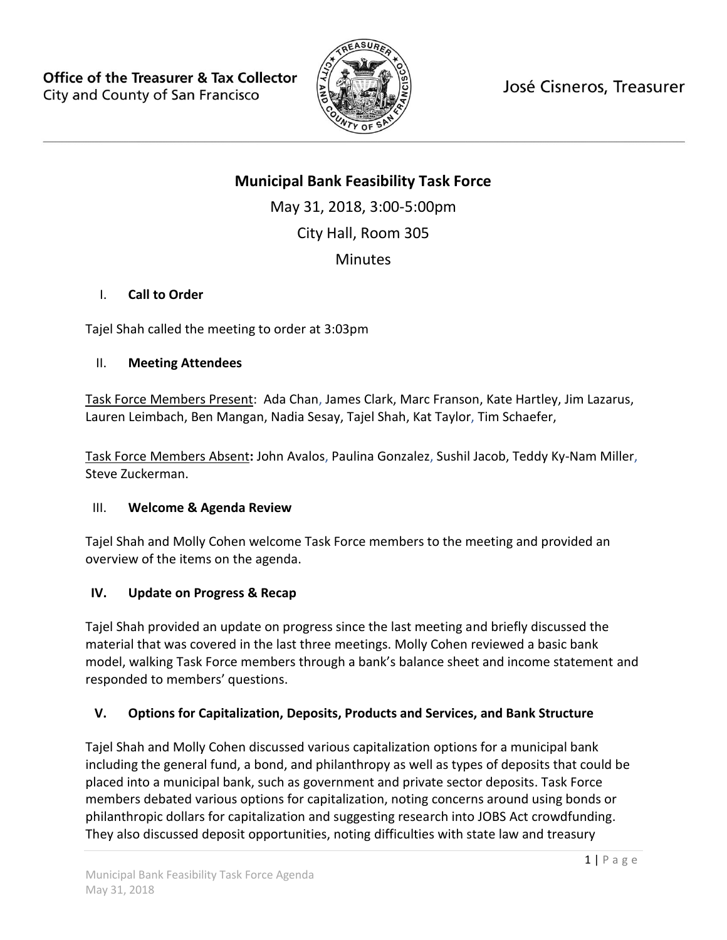

José Cisneros, Treasurer

# **Municipal Bank Feasibility Task Force**

May 31, 2018, 3:00-5:00pm City Hall, Room 305

## **Minutes**

## I. **Call to Order**

Tajel Shah called the meeting to order at 3:03pm

#### II. **Meeting Attendees**

Task Force Members Present: Ada Chan, James Clark, Marc Franson, Kate Hartley, Jim Lazarus, Lauren Leimbach, Ben Mangan, Nadia Sesay, Tajel Shah, Kat Taylor, Tim Schaefer,

Task Force Members Absent**:** John Avalos, Paulina Gonzalez, Sushil Jacob, Teddy Ky-Nam Miller, Steve Zuckerman.

## III. **Welcome & Agenda Review**

Tajel Shah and Molly Cohen welcome Task Force members to the meeting and provided an overview of the items on the agenda.

## **IV. Update on Progress & Recap**

Tajel Shah provided an update on progress since the last meeting and briefly discussed the material that was covered in the last three meetings. Molly Cohen reviewed a basic bank model, walking Task Force members through a bank's balance sheet and income statement and responded to members' questions.

## **V. Options for Capitalization, Deposits, Products and Services, and Bank Structure**

Tajel Shah and Molly Cohen discussed various capitalization options for a municipal bank including the general fund, a bond, and philanthropy as well as types of deposits that could be placed into a municipal bank, such as government and private sector deposits. Task Force members debated various options for capitalization, noting concerns around using bonds or philanthropic dollars for capitalization and suggesting research into JOBS Act crowdfunding. They also discussed deposit opportunities, noting difficulties with state law and treasury